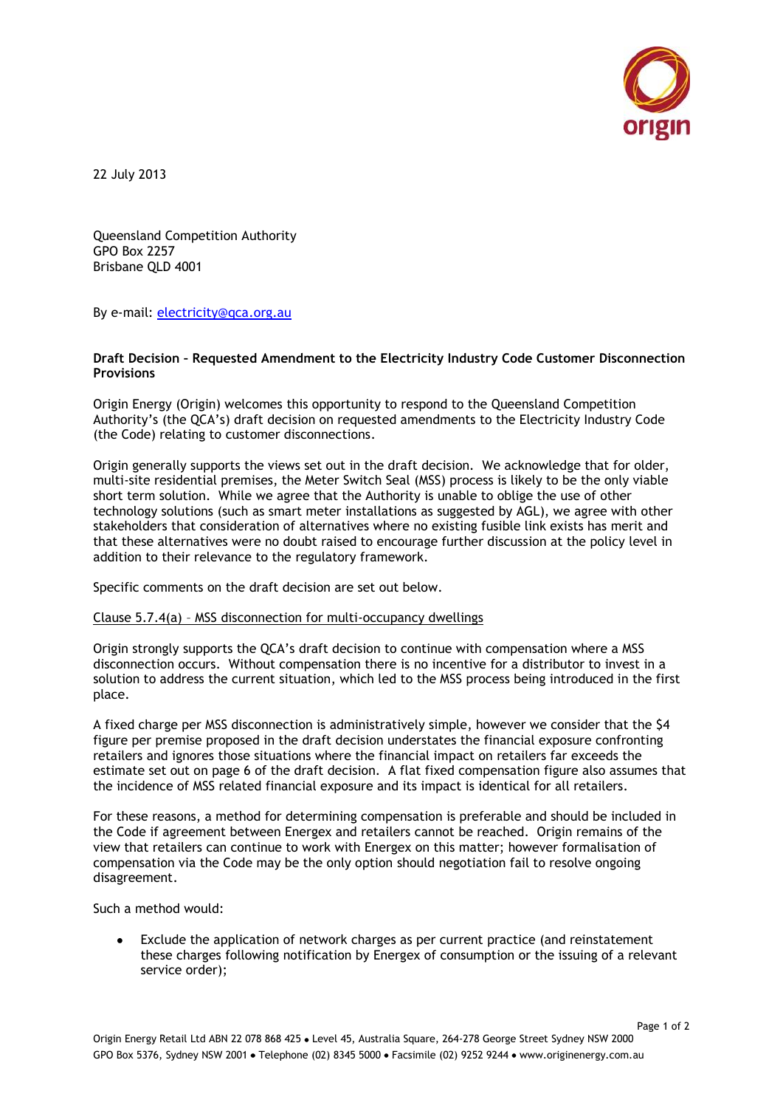

22 July 2013

Queensland Competition Authority GPO Box 2257 Brisbane QLD 4001

By e-mail: [electricity@qca.org.au](mailto:electricity@qca.org.au)

## **Draft Decision – Requested Amendment to the Electricity Industry Code Customer Disconnection Provisions**

Origin Energy (Origin) welcomes this opportunity to respond to the Queensland Competition Authority's (the QCA's) draft decision on requested amendments to the Electricity Industry Code (the Code) relating to customer disconnections.

Origin generally supports the views set out in the draft decision. We acknowledge that for older, multi-site residential premises, the Meter Switch Seal (MSS) process is likely to be the only viable short term solution. While we agree that the Authority is unable to oblige the use of other technology solutions (such as smart meter installations as suggested by AGL), we agree with other stakeholders that consideration of alternatives where no existing fusible link exists has merit and that these alternatives were no doubt raised to encourage further discussion at the policy level in addition to their relevance to the regulatory framework.

Specific comments on the draft decision are set out below.

## Clause 5.7.4(a) – MSS disconnection for multi-occupancy dwellings

Origin strongly supports the QCA's draft decision to continue with compensation where a MSS disconnection occurs. Without compensation there is no incentive for a distributor to invest in a solution to address the current situation, which led to the MSS process being introduced in the first place.

A fixed charge per MSS disconnection is administratively simple, however we consider that the \$4 figure per premise proposed in the draft decision understates the financial exposure confronting retailers and ignores those situations where the financial impact on retailers far exceeds the estimate set out on page 6 of the draft decision. A flat fixed compensation figure also assumes that the incidence of MSS related financial exposure and its impact is identical for all retailers.

For these reasons, a method for determining compensation is preferable and should be included in the Code if agreement between Energex and retailers cannot be reached. Origin remains of the view that retailers can continue to work with Energex on this matter; however formalisation of compensation via the Code may be the only option should negotiation fail to resolve ongoing disagreement.

Such a method would:

Exclude the application of network charges as per current practice (and reinstatement  $\bullet$ these charges following notification by Energex of consumption or the issuing of a relevant service order);